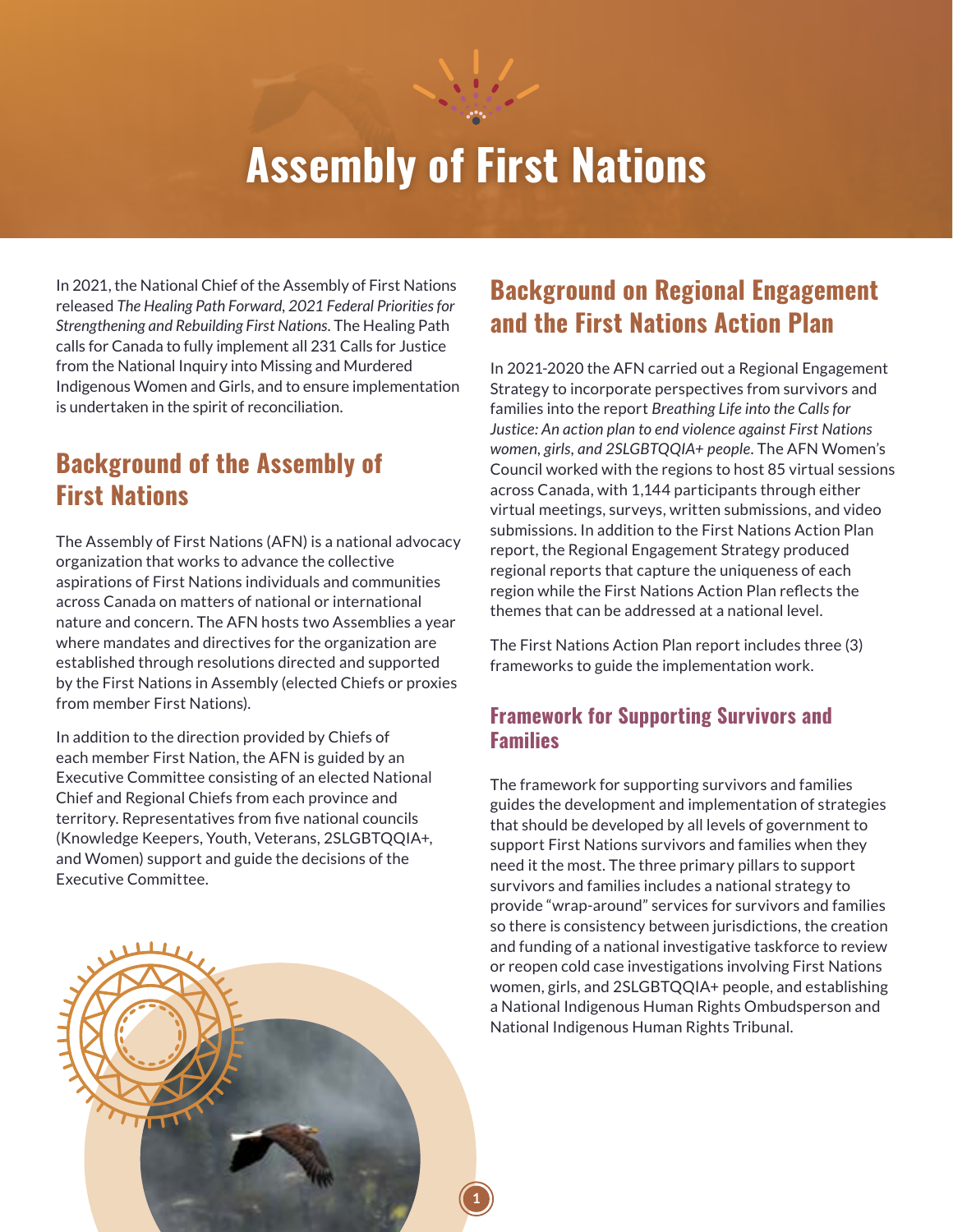

# **Assembly of First Nations**

In 2021, the National Chief of the Assembly of First Nations released *The Healing Path Forward, 2021 Federal Priorities for Strengthening and Rebuilding First Nations*. The Healing Path calls for Canada to fully implement all 231 Calls for Justice from the National Inquiry into Missing and Murdered Indigenous Women and Girls, and to ensure implementation is undertaken in the spirit of reconciliation.

### **Background of the Assembly of First Nations**

The Assembly of First Nations (AFN) is a national advocacy organization that works to advance the collective aspirations of First Nations individuals and communities across Canada on matters of national or international nature and concern. The AFN hosts two Assemblies a year where mandates and directives for the organization are established through resolutions directed and supported by the First Nations in Assembly (elected Chiefs or proxies from member First Nations).

In addition to the direction provided by Chiefs of each member First Nation, the AFN is guided by an Executive Committee consisting of an elected National Chief and Regional Chiefs from each province and territory. Representatives from five national councils (Knowledge Keepers, Youth, Veterans, 2SLGBTQQIA+, and Women) support and guide the decisions of the Executive Committee.

# **Background on Regional Engagement and the First Nations Action Plan**

In 2021-2020 the AFN carried out a Regional Engagement Strategy to incorporate perspectives from survivors and families into the report *Breathing Life into the Calls for Justice: An action plan to end violence against First Nations women, girls, and 2SLGBTQQIA+ people*. The AFN Women's Council worked with the regions to host 85 virtual sessions across Canada, with 1,144 participants through either virtual meetings, surveys, written submissions, and video submissions. In addition to the First Nations Action Plan report, the Regional Engagement Strategy produced regional reports that capture the uniqueness of each region while the First Nations Action Plan reflects the themes that can be addressed at a national level.

The First Nations Action Plan report includes three (3) frameworks to guide the implementation work.

#### **Framework for Supporting Survivors and Families**

The framework for supporting survivors and families guides the development and implementation of strategies that should be developed by all levels of government to support First Nations survivors and families when they need it the most. The three primary pillars to support survivors and families includes a national strategy to provide "wrap-around" services for survivors and families so there is consistency between jurisdictions, the creation and funding of a national investigative taskforce to review or reopen cold case investigations involving First Nations women, girls, and 2SLGBTQQIA+ people, and establishing a National Indigenous Human Rights Ombudsperson and National Indigenous Human Rights Tribunal.